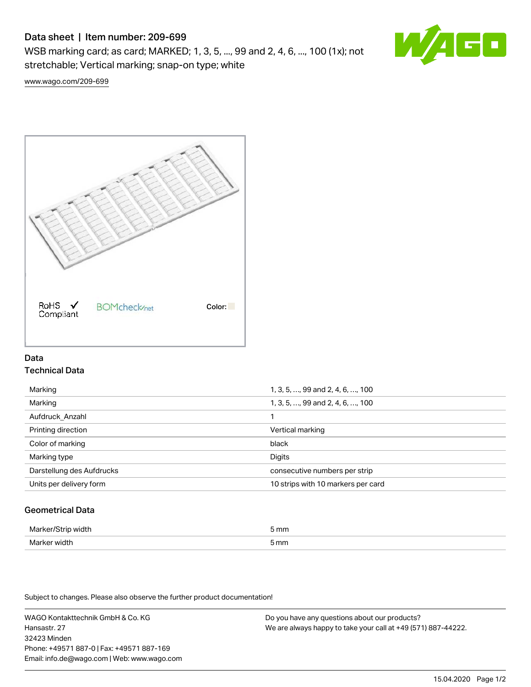# Data sheet | Item number: 209-699

WSB marking card; as card; MARKED; 1, 3, 5, ..., 99 and 2, 4, 6, ..., 100 (1x); not stretchable; Vertical marking; snap-on type; white



[www.wago.com/209-699](http://www.wago.com/209-699)



## Data Technical Data

| Marking                   | 1, 3, 5, , 99 and 2, 4, 6, , 100   |
|---------------------------|------------------------------------|
| Marking                   | 1, 3, 5, , 99 and 2, 4, 6, , 100   |
| Aufdruck Anzahl           |                                    |
| Printing direction        | Vertical marking                   |
| Color of marking          | black                              |
| Marking type              | Digits                             |
| Darstellung des Aufdrucks | consecutive numbers per strip      |
| Units per delivery form   | 10 strips with 10 markers per card |
|                           |                                    |

## Geometrical Data

| Mark<br>ᅯᆃᅛ<br>άū    | 5 mm |
|----------------------|------|
| Mar<br>νιατι<br>$ -$ | 5 mm |

Subject to changes. Please also observe the further product documentation!

WAGO Kontakttechnik GmbH & Co. KG Hansastr. 27 32423 Minden Phone: +49571 887-0 | Fax: +49571 887-169 Email: info.de@wago.com | Web: www.wago.com

Do you have any questions about our products? We are always happy to take your call at +49 (571) 887-44222.